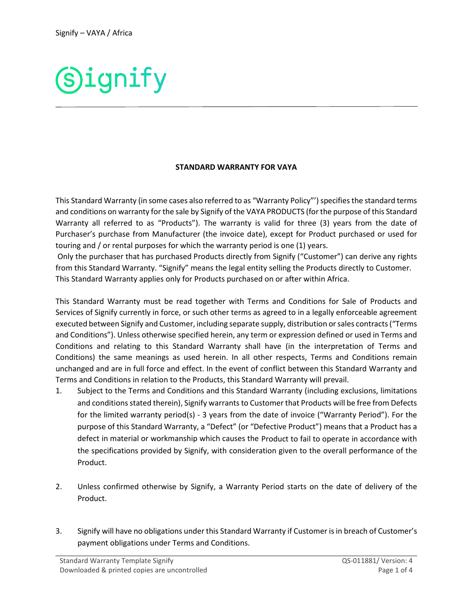

## **STANDARD WARRANTY FOR VAYA**

This Standard Warranty (in some cases also referred to as "Warranty Policy"') specifies the standard terms and conditions on warranty for the sale by Signify of the VAYA PRODUCTS (for the purpose of this Standard Warranty all referred to as "Products"). The warranty is valid for three (3) years from the date of Purchaser's purchase from Manufacturer (the invoice date), except for Product purchased or used for touring and / or rental purposes for which the warranty period is one (1) years.

Only the purchaser that has purchased Products directly from Signify ("Customer") can derive any rights from this Standard Warranty. "Signify" means the legal entity selling the Products directly to Customer. This Standard Warranty applies only for Products purchased on or after within Africa.

This Standard Warranty must be read together with Terms and Conditions for Sale of Products and Services of Signify currently in force, or such other terms as agreed to in a legally enforceable agreement executed between Signify and Customer, including separate supply, distribution or sales contracts ("Terms and Conditions"). Unless otherwise specified herein, any term or expression defined or used in Terms and Conditions and relating to this Standard Warranty shall have (in the interpretation of Terms and Conditions) the same meanings as used herein. In all other respects, Terms and Conditions remain unchanged and are in full force and effect. In the event of conflict between this Standard Warranty and Terms and Conditions in relation to the Products, this Standard Warranty will prevail.

- 1. Subject to the Terms and Conditions and this Standard Warranty (including exclusions, limitations and conditions stated therein), Signify warrants to Customer that Products will be free from Defects for the limited warranty period(s) - 3 years from the date of invoice ("Warranty Period"). For the purpose of this Standard Warranty, a "Defect" (or "Defective Product") means that a Product has a defect in material or workmanship which causes the Product to fail to operate in accordance with the specifications provided by Signify, with consideration given to the overall performance of the Product.
- 2. Unless confirmed otherwise by Signify, a Warranty Period starts on the date of delivery of the Product.
- 3. Signify will have no obligations under this Standard Warranty if Customer is in breach of Customer's payment obligations under Terms and Conditions.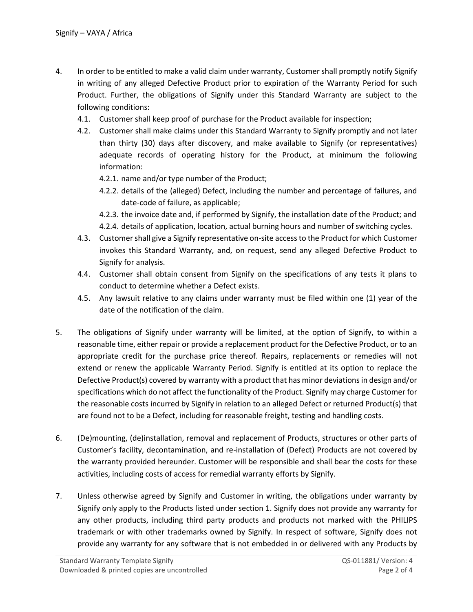- 4. In order to be entitled to make a valid claim under warranty, Customer shall promptly notify Signify in writing of any alleged Defective Product prior to expiration of the Warranty Period for such Product. Further, the obligations of Signify under this Standard Warranty are subject to the following conditions:
	- 4.1. Customer shall keep proof of purchase for the Product available for inspection;
	- 4.2. Customer shall make claims under this Standard Warranty to Signify promptly and not later than thirty (30) days after discovery, and make available to Signify (or representatives) adequate records of operating history for the Product, at minimum the following information:
		- 4.2.1. name and/or type number of the Product;
		- 4.2.2. details of the (alleged) Defect, including the number and percentage of failures, and date-code of failure, as applicable;
		- 4.2.3. the invoice date and, if performed by Signify, the installation date of the Product; and
		- 4.2.4. details of application, location, actual burning hours and number of switching cycles.
	- 4.3. Customer shall give a Signify representative on-site access to the Product for which Customer invokes this Standard Warranty, and, on request, send any alleged Defective Product to Signify for analysis.
	- 4.4. Customer shall obtain consent from Signify on the specifications of any tests it plans to conduct to determine whether a Defect exists.
	- 4.5. Any lawsuit relative to any claims under warranty must be filed within one (1) year of the date of the notification of the claim.
- 5. The obligations of Signify under warranty will be limited, at the option of Signify, to within a reasonable time, either repair or provide a replacement product for the Defective Product, or to an appropriate credit for the purchase price thereof. Repairs, replacements or remedies will not extend or renew the applicable Warranty Period. Signify is entitled at its option to replace the Defective Product(s) covered by warranty with a product that has minor deviations in design and/or specifications which do not affect the functionality of the Product. Signify may charge Customer for the reasonable costs incurred by Signify in relation to an alleged Defect or returned Product(s) that are found not to be a Defect, including for reasonable freight, testing and handling costs.
- 6. (De)mounting, (de)installation, removal and replacement of Products, structures or other parts of Customer's facility, decontamination, and re-installation of (Defect) Products are not covered by the warranty provided hereunder. Customer will be responsible and shall bear the costs for these activities, including costs of access for remedial warranty efforts by Signify.
- 7. Unless otherwise agreed by Signify and Customer in writing, the obligations under warranty by Signify only apply to the Products listed under section 1. Signify does not provide any warranty for any other products, including third party products and products not marked with the PHILIPS trademark or with other trademarks owned by Signify. In respect of software, Signify does not provide any warranty for any software that is not embedded in or delivered with any Products by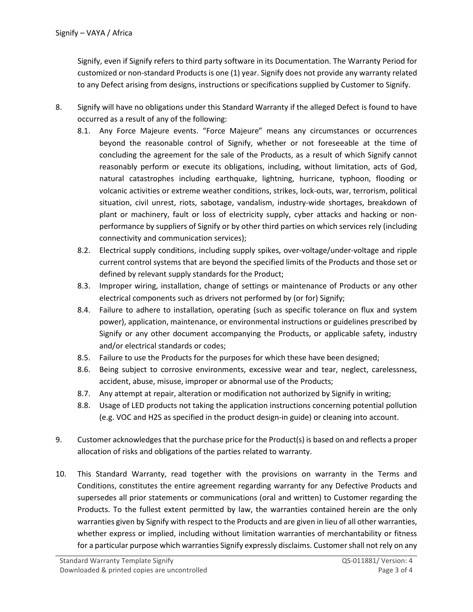Signify, even if Signify refers to third party software in its Documentation. The Warranty Period for customized or non-standard Products is one (1) year. Signify does not provide any warranty related to any Defect arising from designs, instructions or specifications supplied by Customer to Signify.

- 8. Signify will have no obligations under this Standard Warranty if the alleged Defect is found to have occurred as a result of any of the following:
	- 8.1. Any Force Majeure events. "Force Majeure" means any circumstances or occurrences beyond the reasonable control of Signify, whether or not foreseeable at the time of concluding the agreement for the sale of the Products, as a result of which Signify cannot reasonably perform or execute its obligations, including, without limitation, acts of God, natural catastrophes including earthquake, lightning, hurricane, typhoon, flooding or volcanic activities or extreme weather conditions, strikes, lock-outs, war, terrorism, political situation, civil unrest, riots, sabotage, vandalism, industry-wide shortages, breakdown of plant or machinery, fault or loss of electricity supply, cyber attacks and hacking or nonperformance by suppliers of Signify or by other third parties on which services rely (including connectivity and communication services);
	- 8.2. Electrical supply conditions, including supply spikes, over-voltage/under-voltage and ripple current control systems that are beyond the specified limits of the Products and those set or defined by relevant supply standards for the Product;
	- 8.3. Improper wiring, installation, change of settings or maintenance of Products or any other electrical components such as drivers not performed by (or for) Signify;
	- 8.4. Failure to adhere to installation, operating (such as specific tolerance on flux and system power), application, maintenance, or environmental instructions or guidelines prescribed by Signify or any other document accompanying the Products, or applicable safety, industry and/or electrical standards or codes;
	- 8.5. Failure to use the Products for the purposes for which these have been designed;
	- 8.6. Being subject to corrosive environments, excessive wear and tear, neglect, carelessness, accident, abuse, misuse, improper or abnormal use of the Products;
	- 8.7. Any attempt at repair, alteration or modification not authorized by Signify in writing;
	- 8.8. Usage of LED products not taking the application instructions concerning potential pollution (e.g. VOC and H2S as specified in the product design-in guide) or cleaning into account.
- 9. Customer acknowledges that the purchase price for the Product(s) is based on and reflects a proper allocation of risks and obligations of the parties related to warranty.
- 10. This Standard Warranty, read together with the provisions on warranty in the Terms and Conditions, constitutes the entire agreement regarding warranty for any Defective Products and supersedes all prior statements or communications (oral and written) to Customer regarding the Products. To the fullest extent permitted by law, the warranties contained herein are the only warranties given by Signify with respect to the Products and are given in lieu of all other warranties, whether express or implied, including without limitation warranties of merchantability or fitness for a particular purpose which warranties Signify expressly disclaims. Customer shall not rely on any